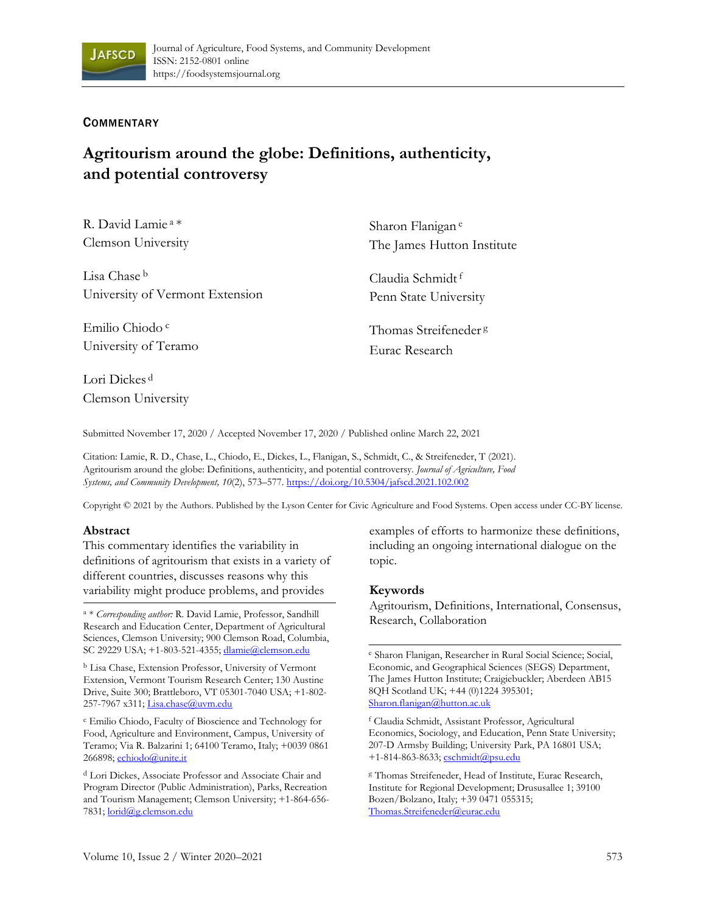

## **COMMENTARY**

# **Agritourism around the globe: Definitions, authenticity, and potential controversy**

| R. David Lamie <sup>a*</sup>    | Sharon Flanigan <sup>e</sup>     |
|---------------------------------|----------------------------------|
| Clemson University              | The James Hutton Institute       |
| Lisa Chase <sup>b</sup>         | Claudia Schmidt <sup>f</sup>     |
| University of Vermont Extension | Penn State University            |
| Emilio Chiodo <sup>c</sup>      | Thomas Streifeneder <sup>g</sup> |
| University of Teramo            | Eurac Research                   |
| Lori Dickes <sup>d</sup>        |                                  |

Clemson University

Submitted November 17, 2020 / Accepted November 17, 2020 / Published online March 22, 2021

Citation: Lamie, R. D., Chase, L., Chiodo, E., Dickes, L., Flanigan, S., Schmidt, C., & Streifeneder, T (2021). Agritourism around the globe: Definitions, authenticity, and potential controversy. *Journal of Agriculture, Food Systems, and Community Development, 10*(2), 573–577. https://doi.org/10.5304/jafscd.2021.102.002

Copyright © 2021 by the Authors. Published by the Lyson Center for Civic Agriculture and Food Systems. Open access under CC-BY license.

#### **Abstract**

This commentary identifies the variability in definitions of agritourism that exists in a variety of different countries, discusses reasons why this variability might produce problems, and provides

<sup>a</sup> \* *Corresponding author:* R. David Lamie, Professor, Sandhill Research and Education Center, Department of Agricultural Sciences, Clemson University; 900 Clemson Road, Columbia, SC 29229 USA; +1-803-521-4355; dlamie@clemson.edu

<sup>b</sup> Lisa Chase, Extension Professor, University of Vermont Extension, Vermont Tourism Research Center; 130 Austine Drive, Suite 300; Brattleboro, VT 05301-7040 USA; +1-802- 257-7967 x311; Lisa.chase@uvm.edu

<sup>c</sup> Emilio Chiodo, Faculty of Bioscience and Technology for Food, Agriculture and Environment, Campus, University of Teramo; Via R. Balzarini 1; 64100 Teramo, Italy; +0039 0861 266898; echiodo@unite.it

<sup>d</sup> Lori Dickes, Associate Professor and Associate Chair and Program Director (Public Administration), Parks, Recreation and Tourism Management; Clemson University; +1-864-656- 7831; lorid@g.clemson.edu

examples of efforts to harmonize these definitions, including an ongoing international dialogue on the topic.

#### **Keywords**

Agritourism, Definitions, International, Consensus, Research, Collaboration

<sup>e</sup> Sharon Flanigan, Researcher in Rural Social Science; Social, Economic, and Geographical Sciences (SEGS) Department, The James Hutton Institute; Craigiebuckler; Aberdeen AB15 8QH Scotland UK; +44 (0)1224 395301; Sharon.flanigan@hutton.ac.uk

<sup>f</sup> Claudia Schmidt, Assistant Professor, Agricultural Economics, Sociology, and Education, Penn State University; 207-D Armsby Building; University Park, PA 16801 USA; +1-814-863-8633; cschmidt@psu.edu

<sup>g</sup> Thomas Streifeneder, Head of Institute, Eurac Research, Institute for Regional Development; Drususallee 1; 39100 Bozen/Bolzano, Italy; +39 0471 055315; Thomas.Streifeneder@eurac.edu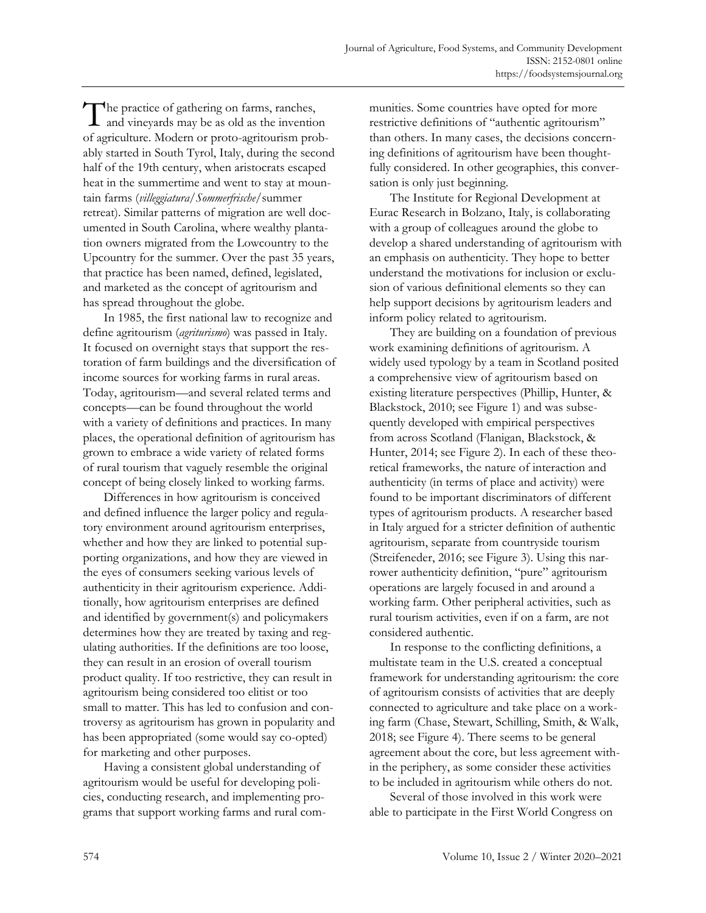The practice of gathering on farms, ranches,<br>and vineyards may be as old as the invention and vineyards may be as old as the invention of agriculture. Modern or proto-agritourism probably started in South Tyrol, Italy, during the second half of the 19th century, when aristocrats escaped heat in the summertime and went to stay at mountain farms (*villeggiatura/Sommerfrische*/summer retreat). Similar patterns of migration are well documented in South Carolina, where wealthy plantation owners migrated from the Lowcountry to the Upcountry for the summer. Over the past 35 years, that practice has been named, defined, legislated, and marketed as the concept of agritourism and has spread throughout the globe.

In 1985, the first national law to recognize and define agritourism (*agriturismo*) was passed in Italy. It focused on overnight stays that support the restoration of farm buildings and the diversification of income sources for working farms in rural areas. Today, agritourism—and several related terms and concepts—can be found throughout the world with a variety of definitions and practices. In many places, the operational definition of agritourism has grown to embrace a wide variety of related forms of rural tourism that vaguely resemble the original concept of being closely linked to working farms.

Differences in how agritourism is conceived and defined influence the larger policy and regulatory environment around agritourism enterprises, whether and how they are linked to potential supporting organizations, and how they are viewed in the eyes of consumers seeking various levels of authenticity in their agritourism experience. Additionally, how agritourism enterprises are defined and identified by government(s) and policymakers determines how they are treated by taxing and regulating authorities. If the definitions are too loose, they can result in an erosion of overall tourism product quality. If too restrictive, they can result in agritourism being considered too elitist or too small to matter. This has led to confusion and controversy as agritourism has grown in popularity and has been appropriated (some would say co-opted) for marketing and other purposes.

Having a consistent global understanding of agritourism would be useful for developing policies, conducting research, and implementing programs that support working farms and rural communities. Some countries have opted for more restrictive definitions of "authentic agritourism" than others. In many cases, the decisions concerning definitions of agritourism have been thoughtfully considered. In other geographies, this conversation is only just beginning.

The Institute for Regional Development at Eurac Research in Bolzano, Italy, is collaborating with a group of colleagues around the globe to develop a shared understanding of agritourism with an emphasis on authenticity. They hope to better understand the motivations for inclusion or exclusion of various definitional elements so they can help support decisions by agritourism leaders and inform policy related to agritourism.

They are building on a foundation of previous work examining definitions of agritourism. A widely used typology by a team in Scotland posited a comprehensive view of agritourism based on existing literature perspectives (Phillip, Hunter, & Blackstock, 2010; see Figure 1) and was subsequently developed with empirical perspectives from across Scotland (Flanigan, Blackstock, & Hunter, 2014; see Figure 2). In each of these theoretical frameworks, the nature of interaction and authenticity (in terms of place and activity) were found to be important discriminators of different types of agritourism products. A researcher based in Italy argued for a stricter definition of authentic agritourism, separate from countryside tourism (Streifeneder, 2016; see Figure 3). Using this narrower authenticity definition, "pure" agritourism operations are largely focused in and around a working farm. Other peripheral activities, such as rural tourism activities, even if on a farm, are not considered authentic.

In response to the conflicting definitions, a multistate team in the U.S. created a conceptual framework for understanding agritourism: the core of agritourism consists of activities that are deeply connected to agriculture and take place on a working farm (Chase, Stewart, Schilling, Smith, & Walk, 2018; see Figure 4). There seems to be general agreement about the core, but less agreement within the periphery, as some consider these activities to be included in agritourism while others do not.

Several of those involved in this work were able to participate in the First World Congress on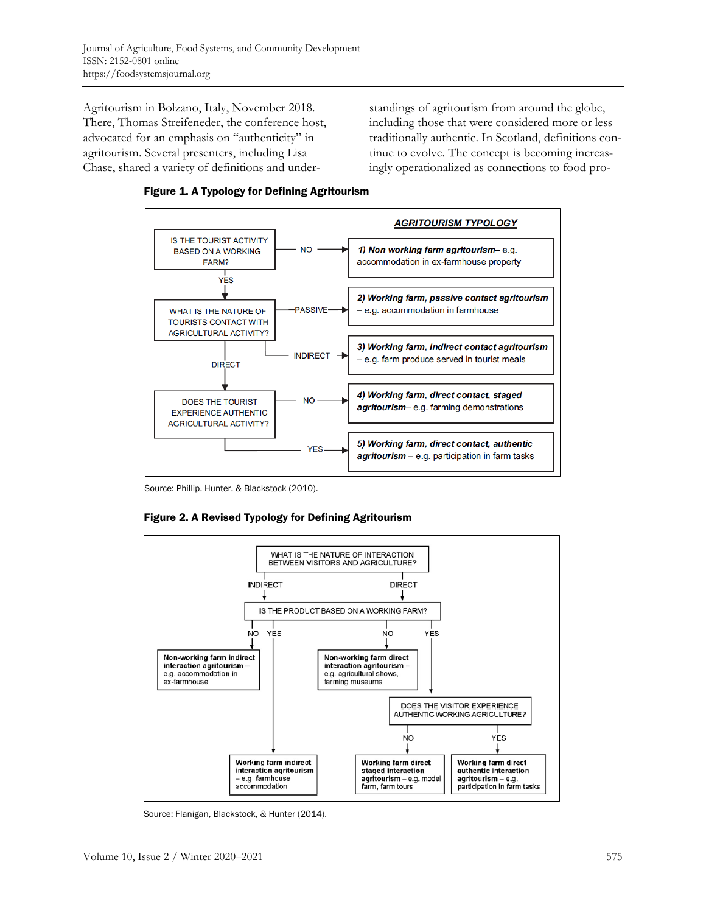Agritourism in Bolzano, Italy, November 2018. There, Thomas Streifeneder, the conference host, advocated for an emphasis on "authenticity" in agritourism. Several presenters, including Lisa Chase, shared a variety of definitions and understandings of agritourism from around the globe, including those that were considered more or less traditionally authentic. In Scotland, definitions continue to evolve. The concept is becoming increasingly operationalized as connections to food pro-





Source: Phillip, Hunter, & Blackstock (2010).





Source: Flanigan, Blackstock, & Hunter (2014).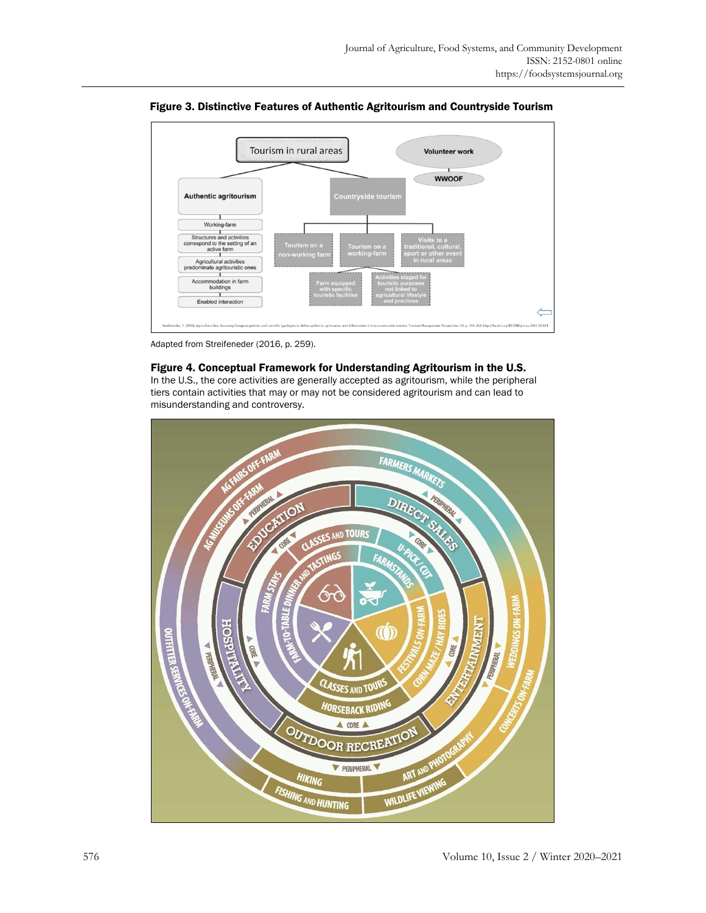

Figure 3. Distinctive Features of Authentic Agritourism and Countryside Tourism

Adapted from Streifeneder (2016, p. 259).

#### Figure 4. Conceptual Framework for Understanding Agritourism in the U.S.

In the U.S., the core activities are generally accepted as agritourism, while the peripheral tiers contain activities that may or may not be considered agritourism and can lead to misunderstanding and controversy.